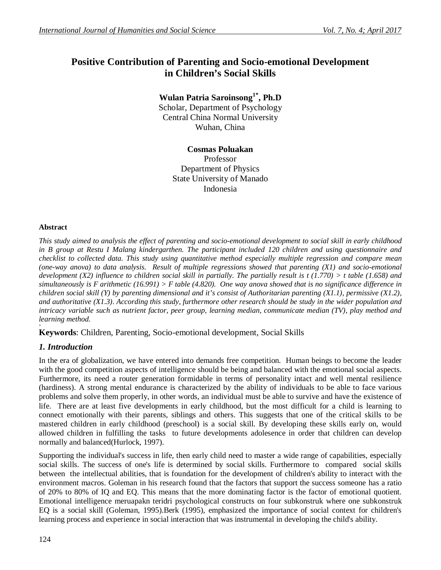# **Positive Contribution of Parenting and Socio-emotional Development in Children's Social Skills**

**Wulan Patria Saroinsong1\* , Ph.D**

Scholar, Department of Psychology Central China Normal University Wuhan, China

# **Cosmas Poluakan**

Professor Department of Physics State University of Manado Indonesia

## **Abstract**

*This study aimed to analysis the effect of parenting and socio-emotional development to social skill in early childhood in B group at Restu I Malang kindergarthen. The participant included 120 children and using questionnaire and checklist to collected data. This study using quantitative method especially multiple regression and compare mean (one-way anova) to data analysis. Result of multiple regressions showed that parenting (X1) and socio-emotional development (X2) influence to children social skill in partially. The partially result is t (1.770) > t table (1.658) and simultaneously is F arithmetic (16.991) > F table (4.820). One way anova showed that is no significance difference in children social skill (Y) by parenting dimensional and it's consist of Authoritarian parenting (X1.1), permissive (X1.2), and authoritative (X1.3). According this study, furthermore other research should be study in the wider population and intricacy variable such as nutrient factor, peer group, learning median, communicate median (TV), play method and learning method.*

**+ Keywords**: Children, Parenting, Socio-emotional development, Social Skills

# *1. Introduction*

In the era of globalization, we have entered into demands free competition. Human beings to become the leader with the good competition aspects of intelligence should be being and balanced with the emotional social aspects. Furthermore, its need a router generation formidable in terms of personality intact and well mental resilience (hardiness). A strong mental endurance is characterized by the ability of individuals to be able to face various problems and solve them properly, in other words, an individual must be able to survive and have the existence of life. There are at least five developments in early childhood, but the most difficult for a child is learning to connect emotionally with their parents, siblings and others. This suggests that one of the critical skills to be mastered children in early childhood (preschool) is a social skill. By developing these skills early on, would allowed children in fulfilling the tasks to future developments adolesence in order that children can develop normally and balanced(Hurlock, 1997).

Supporting the individual's success in life, then early child need to master a wide range of capabilities, especially social skills. The success of one's life is determined by social skills. Furthermore to compared social skills between the intellectual abilities, that is foundation for the development of children's ability to interact with the environment macros. Goleman in his research found that the factors that support the success someone has a ratio of 20% to 80% of IQ and EQ. This means that the more dominating factor is the factor of emotional quotient. Emotional intelligence meruapakn teridri psychological constructs on four subkonstruk where one subkonstruk EQ is a social skill (Goleman, 1995).Berk (1995), emphasized the importance of social context for children's learning process and experience in social interaction that was instrumental in developing the child's ability.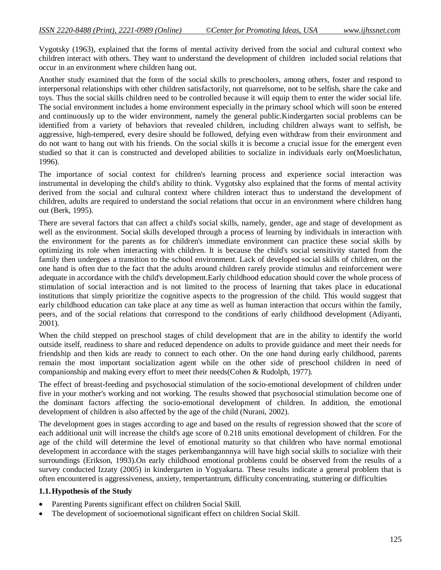Vygotsky (1963), explained that the forms of mental activity derived from the social and cultural context who children interact with others. They want to understand the development of children included social relations that occur in an environment where children hang out.

Another study examined that the form of the social skills to preschoolers, among others, foster and respond to interpersonal relationships with other children satisfactorily, not quarrelsome, not to be selfish, share the cake and toys. Thus the social skills children need to be controlled because it will equip them to enter the wider social life. The social environment includes a home environment especially in the primary school which will soon be entered and continuously up to the wider environment, namely the general public.Kindergarten social problems can be identified from a variety of behaviors that revealed children, including children always want to selfish, be aggressive, high-tempered, every desire should be followed, defying even withdraw from their environment and do not want to hang out with his friends. On the social skills it is become a crucial issue for the emergent even studied so that it can is constructed and developed abilities to socialize in individuals early on(Moeslichatun, 1996).

The importance of social context for children's learning process and experience social interaction was instrumental in developing the child's ability to think. Vygotsky also explained that the forms of mental activity derived from the social and cultural context where children interact thus to understand the development of children, adults are required to understand the social relations that occur in an environment where children hang out (Berk, 1995).

There are several factors that can affect a child's social skills, namely, gender, age and stage of development as well as the environment. Social skills developed through a process of learning by individuals in interaction with the environment for the parents as for children's immediate environment can practice these social skills by optimizing its role when interacting with children. It is because the child's social sensitivity started from the family then undergoes a transition to the school environment. Lack of developed social skills of children, on the one hand is often due to the fact that the adults around children rarely provide stimulus and reinforcement were adequate in accordance with the child's development.Early childhood education should cover the whole process of stimulation of social interaction and is not limited to the process of learning that takes place in educational institutions that simply prioritize the cognitive aspects to the progression of the child. This would suggest that early childhood education can take place at any time as well as human interaction that occurs within the family, peers, and of the social relations that correspond to the conditions of early childhood development (Adiyanti, 2001).

When the child stepped on preschool stages of child development that are in the ability to identify the world outside itself, readiness to share and reduced dependence on adults to provide guidance and meet their needs for friendship and then kids are ready to connect to each other. On the one hand during early childhood, parents remain the most important socialization agent while on the other side of preschool children in need of companionship and making every effort to meet their needs(Cohen & Rudolph, 1977).

The effect of breast-feeding and psychosocial stimulation of the socio-emotional development of children under five in your mother's working and not working. The results showed that psychosocial stimulation become one of the dominant factors affecting the socio-emotional development of children. In addition, the emotional development of children is also affected by the age of the child (Nurani, 2002).

The development goes in stages according to age and based on the results of regression showed that the score of each additional unit will increase the child's age score of 0.218 units emotional development of children. For the age of the child will determine the level of emotional maturity so that children who have normal emotional development in accordance with the stages perkembangannnya will have high social skills to socialize with their surroundings (Erikson, 1993).On early childhood emotional problems could be observed from the results of a survey conducted Izzaty (2005) in kindergarten in Yogyakarta. These results indicate a general problem that is often encountered is aggressiveness, anxiety, tempertantrum, difficulty concentrating, stuttering or difficulties

## **1.1.Hypothesis of the Study**

- Parenting Parents significant effect on children Social Skill.
- The development of socioemotional significant effect on children Social Skill.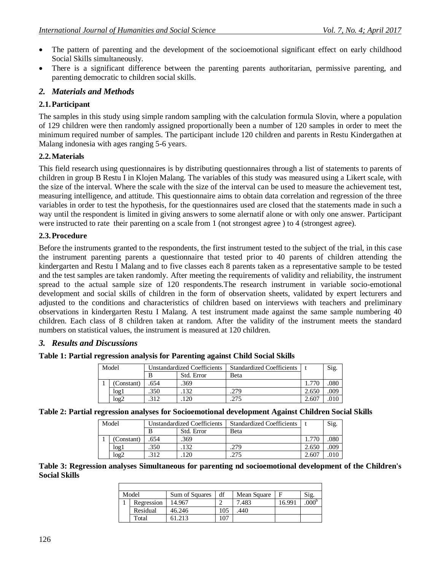- The pattern of parenting and the development of the socioemotional significant effect on early childhood Social Skills simultaneously.
- There is a significant difference between the parenting parents authoritarian, permissive parenting, and parenting democratic to children social skills.

# *2. Materials and Methods*

#### **2.1.Participant**

The samples in this study using simple random sampling with the calculation formula Slovin, where a population of 129 children were then randomly assigned proportionally been a number of 120 samples in order to meet the minimum required number of samples. The participant include 120 children and parents in Restu Kindergathen at Malang indonesia with ages ranging 5-6 years.

## **2.2.Materials**

This field research using questionnaires is by distributing questionnaires through a list of statements to parents of children in group B Restu I in Klojen Malang. The variables of this study was measured using a Likert scale, with the size of the interval. Where the scale with the size of the interval can be used to measure the achievement test, measuring intelligence, and attitude. This questionnaire aims to obtain data correlation and regression of the three variables in order to test the hypothesis, for the questionnaires used are closed that the statements made in such a way until the respondent is limited in giving answers to some alernatif alone or with only one answer. Participant were instructed to rate their parenting on a scale from 1 (not strongest agree ) to 4 (strongest agree).

#### **2.3.Procedure**

Before the instruments granted to the respondents, the first instrument tested to the subject of the trial, in this case the instrument parenting parents a questionnaire that tested prior to 40 parents of children attending the kindergarten and Restu I Malang and to five classes each 8 parents taken as a representative sample to be tested and the test samples are taken randomly. After meeting the requirements of validity and reliability, the instrument spread to the actual sample size of 120 respondents.The research instrument in variable socio-emotional development and social skills of children in the form of observation sheets, validated by expert lecturers and adjusted to the conditions and characteristics of children based on interviews with teachers and preliminary observations in kindergarten Restu I Malang. A test instrument made against the same sample numbering 40 children. Each class of 8 children taken at random. After the validity of the instrument meets the standard numbers on statistical values, the instrument is measured at 120 children.

#### *3. Results and Discussions*

|  | Table 1: Partial regression analysis for Parenting against Child Social Skills |  |  |  |
|--|--------------------------------------------------------------------------------|--|--|--|
|  |                                                                                |  |  |  |

| Model |            | Unstandardized Coefficients |            | <b>Standardized Coefficients</b> |       | Sig. |
|-------|------------|-----------------------------|------------|----------------------------------|-------|------|
|       |            |                             | Std. Error | Beta                             |       |      |
|       | (Constant) | 654                         | 369        |                                  |       | 080  |
|       | logl       | 350                         | 132        | 279                              | 2.650 | .009 |
|       | log2       |                             | 120        | つつら                              | 2.607 |      |

#### **Table 2: Partial regression analyses for Socioemotional development Against Children Social Skills**

| Model |            | <b>Unstandardized Coefficients</b> |            | <b>Standardized Coefficients</b> |       | Sig. |
|-------|------------|------------------------------------|------------|----------------------------------|-------|------|
|       |            |                                    | Std. Error | <b>Beta</b>                      |       |      |
|       | (Constant) | .654                               | .369       |                                  | 1.770 | 080  |
|       | log1       | .350                               | 132        | 279                              | 2.650 | 009  |
|       | log2       | 312                                |            | າ75                              | 2.607 |      |

**Table 3: Regression analyses Simultaneous for parenting nd socioemotional development of the Children's Social Skills**

| Model      | Sum of Squares | df  | Mean Square |        | Sig |
|------------|----------------|-----|-------------|--------|-----|
| Regression | 14.967         |     | 7.483       | 16.991 | 000 |
| Residual   | 46.246         | 105 | 440         |        |     |
| Total      |                |     |             |        |     |